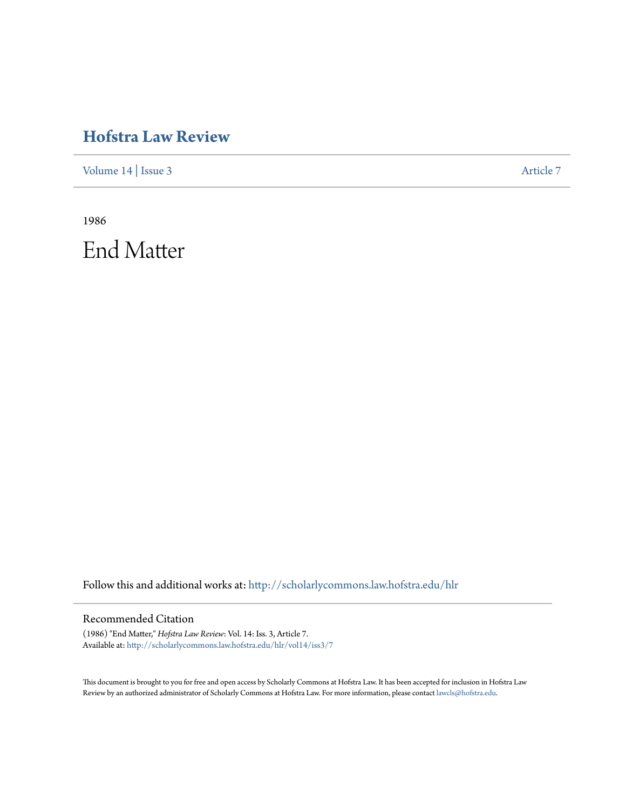### **[Hofstra Law Review](http://scholarlycommons.law.hofstra.edu/hlr?utm_source=scholarlycommons.law.hofstra.edu%2Fhlr%2Fvol14%2Fiss3%2F7&utm_medium=PDF&utm_campaign=PDFCoverPages)**

[Volume 14](http://scholarlycommons.law.hofstra.edu/hlr/vol14?utm_source=scholarlycommons.law.hofstra.edu%2Fhlr%2Fvol14%2Fiss3%2F7&utm_medium=PDF&utm_campaign=PDFCoverPages) | [Issue 3](http://scholarlycommons.law.hofstra.edu/hlr/vol14/iss3?utm_source=scholarlycommons.law.hofstra.edu%2Fhlr%2Fvol14%2Fiss3%2F7&utm_medium=PDF&utm_campaign=PDFCoverPages) [Article 7](http://scholarlycommons.law.hofstra.edu/hlr/vol14/iss3/7?utm_source=scholarlycommons.law.hofstra.edu%2Fhlr%2Fvol14%2Fiss3%2F7&utm_medium=PDF&utm_campaign=PDFCoverPages)

1986 End Matter

Follow this and additional works at: [http://scholarlycommons.law.hofstra.edu/hlr](http://scholarlycommons.law.hofstra.edu/hlr?utm_source=scholarlycommons.law.hofstra.edu%2Fhlr%2Fvol14%2Fiss3%2F7&utm_medium=PDF&utm_campaign=PDFCoverPages)

#### Recommended Citation

(1986) "End Matter," *Hofstra Law Review*: Vol. 14: Iss. 3, Article 7. Available at: [http://scholarlycommons.law.hofstra.edu/hlr/vol14/iss3/7](http://scholarlycommons.law.hofstra.edu/hlr/vol14/iss3/7?utm_source=scholarlycommons.law.hofstra.edu%2Fhlr%2Fvol14%2Fiss3%2F7&utm_medium=PDF&utm_campaign=PDFCoverPages)

This document is brought to you for free and open access by Scholarly Commons at Hofstra Law. It has been accepted for inclusion in Hofstra Law Review by an authorized administrator of Scholarly Commons at Hofstra Law. For more information, please contact [lawcls@hofstra.edu](mailto:lawcls@hofstra.edu).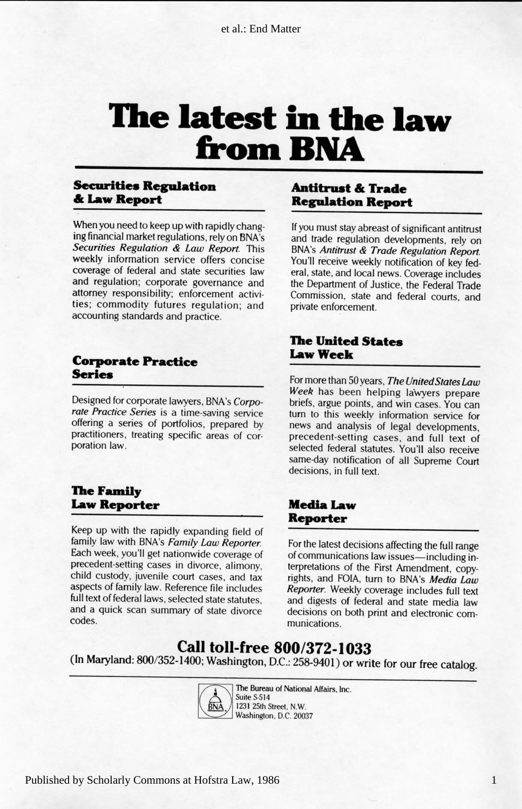## **3 800/372-103 e toll-fre l Cal**  $\blacksquare$ . catalog e  $\blacksquare$ **. latest**

#### & Law Report **Securities Regulation**

where  $\alpha$  is different factor of an indicated and  $\alpha$ 

coverage of federal and state securities law eral, state, and local news. Coverage includes<br>and regulation; corporate governance and the Department of Justice, the Federal Trade ties; commodity futures regulation; and<br>accounting standards and practice. attorney responsibility; enforcement activicoverage of federal and state securities law weekly information service offers concise Securities Regulation & Law Report. This ing financial market regulations, rely on BNA's When you need to keep up with rapidly chang-

#### , developments lagar f o s analysis d and s and s new state of an s new state of an s new state of an **Series Corporate Practice** t Cour e Suprem l al f o n notificatio y same-da

Designed for corporate lawyers, BNA's Corporate Practice Series is a time-saving service offering a series of portfolios, prepared by practitioners, treating specific areas of corporation law.

#### **The Family** Law Reporter d an , courts l federal d an e stat , Commission

Keep up with the rapidly expanding field of family law with BNA's Family Law Reporter. Each week, you'll get nationwide coverage of precedent-setting cases in divorce, alimony, child custody, juvenile court cases, and tax aspects of family law. Reference file includes full text of federal laws, selected state statutes, and a quick scan summary of state divorce codes.

#### **Antitrust & Trade Regulation Report**  $\overline{\phantom{a}}$  ,  $\overline{\phantom{a}}$  ,  $\overline{\phantom{a}}$  and  $\overline{\phantom{a}}$  and  $\overline{\phantom{a}}$  functions in  $\overline{\phantom{a}}$

Commission, state and federal courts, and private enforcement *Report From Feceric Weekly Houndard Divisions*  $f_{\rm tot}$  or  $f_{\rm tot}$  is a national  $\alpha$  is a regulation of the Vou'll receive week notification of BNA's Antitrust & Trade Regulation Report. and trade regulation developments, rely on If you must stay abreast of significant antitrust

#### **The United States Law Week** . law n poratio

For more than 50 years, The United States Law Week has been helping lawyers prepare briefs, argue points, and win cases. You can turn to this weekly information service for news and analysis of legal developments,<br>precedent-setting cases, and full text of selected federal statutes. You'll also receive<br>same-day notification of all Supreme Court decisions, in full text.

#### $\overline{\phantom{a}}$  and  $\overline{\phantom{a}}$  and  $\overline{\phantom{a}}$  and  $\overline{\phantom{a}}$  and  $\overline{\phantom{a}}$  and  $\overline{\phantom{a}}$  and  $\overline{\phantom{a}}$  and  $\overline{\phantom{a}}$  and  $\overline{\phantom{a}}$  and  $\overline{\phantom{a}}$  and  $\overline{\phantom{a}}$  and  $\overline{\phantom{a}}$  and  $\overline{\phantom{a}}$  and  $\overline{\phantom{a}}$  a Reporter **Media Law**

**nications**. th print and electron rights, and FOIA, turn to BNA's Media Law<br>Reporter. Weekly coverage includes full text  $\mathbf{S}$  between  $\mathbf{S}$  of the regulations of the regulation of  $\mathbf{S}$  $\mathbf{w}$  reported *securities a Reported Reported in Securities* of communications law issues-including in-For the latest decisions affecting the full range

**Call toll-free 800/372-1033**<br>(In Maryland: 800/352-1400; Washington, D.C.: 258-9401) or write for our free catalog.



**e e m e n e e c e n e c e f n e f e f n e f f n e f f e f f f e f f** *<b>e f <b>f <b><i>e* **f** *<b><i><b> <b> <i><b> <b> <b> <b> <b> <b>*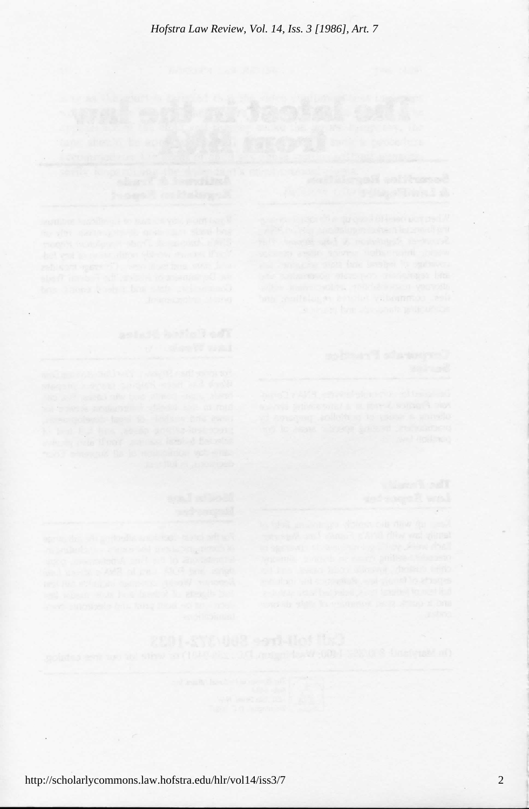http://scholarlycommons.law.hofstra.edu/hlr/vol14/iss3/7

2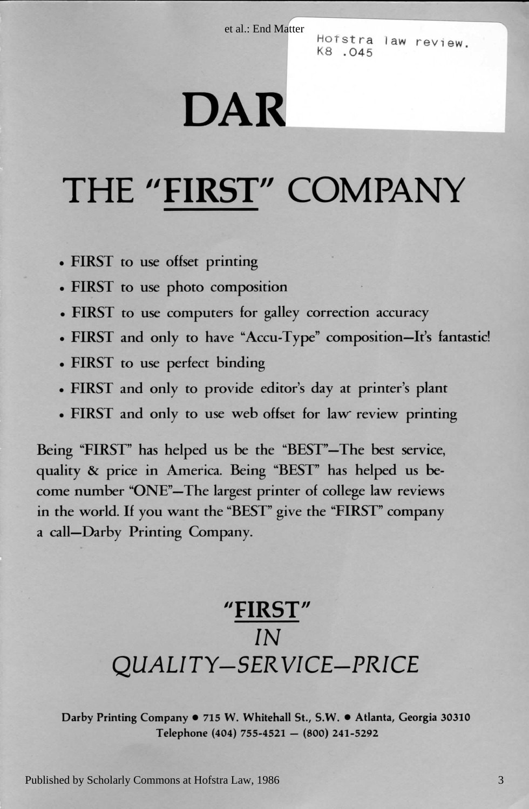et al.: End Matter

2 241-529 ) (800 - 1 755-452 ) (404 **e Telephon**

Hofstra law review. K8.045

## $\mathbf{DAR}$

## **PI**  $\sim$ *IN*

- FIRST to use offset printing
- FIRST to use photo composition
- · FIRST to use computers for galley correction accuracy
- FIRST and only to have "Accu-Type" composition-It's fantastic!
- FIRST to use perfect binding
- FIRST and only to provide editor's day at printer's plant
- FIRST and only to use web offset for law review printing

in the world. If you want the "BEST" give the "FIRST" company<br>a call–Darby Printing Company. come number "ONE"-The largest printer of college law reviews quality & price in America. Being "BEST" has helped us be-Being "FIRST" has helped us be the "BEST"-The best service,

# $QUALITY-SERVICE-PRICE$ <br>Darby Printing Company  $\bullet$  715 W. Whitehall St., S.W.  $\bullet$  Atlanta, Georgia 30310  $\frac{m}{N}$ **"EIRST**"

Telephone (404) 755-4521 - (800) 241-5292

Published by Scholarly Commons at Hofstra Law, 1986

3